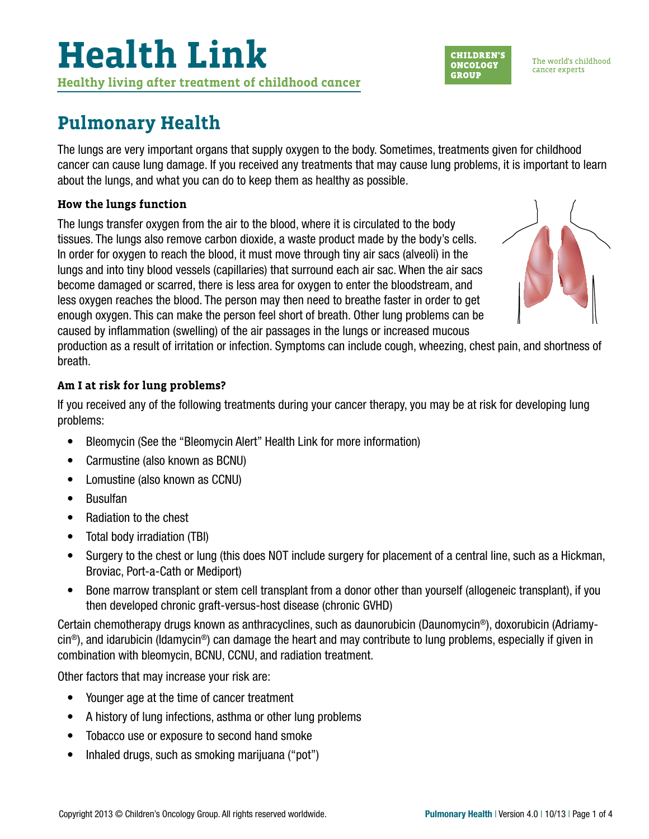### **Pulmonary Health**

The lungs are very important organs that supply oxygen to the body. Sometimes, treatments given for childhood cancer can cause lung damage. If you received any treatments that may cause lung problems, it is important to learn about the lungs, and what you can do to keep them as healthy as possible.

### **How the lungs function**

The lungs transfer oxygen from the air to the blood, where it is circulated to the body tissues. The lungs also remove carbon dioxide, a waste product made by the body's cells. In order for oxygen to reach the blood, it must move through tiny air sacs (alveoli) in the lungs and into tiny blood vessels (capillaries) that surround each air sac. When the air sacs become damaged or scarred, there is less area for oxygen to enter the bloodstream, and less oxygen reaches the blood. The person may then need to breathe faster in order to get enough oxygen. This can make the person feel short of breath. Other lung problems can be caused by inflammation (swelling) of the air passages in the lungs or increased mucous

production as a result of irritation or infection. Symptoms can include cough, wheezing, chest pain, and shortness of breath.

### **Am I at risk for lung problems?**

If you received any of the following treatments during your cancer therapy, you may be at risk for developing lung problems:

- Bleomycin (See the "Bleomycin Alert" Health Link for more information)
- Carmustine (also known as BCNU)
- Lomustine (also known as CCNU)
- Busulfan
- Radiation to the chest
- Total body irradiation (TBI)
- Surgery to the chest or lung (this does NOT include surgery for placement of a central line, such as a Hickman, Broviac, Port-a-Cath or Mediport)
- Bone marrow transplant or stem cell transplant from a donor other than yourself (allogeneic transplant), if you then developed chronic graft-versus-host disease (chronic GVHD)

Certain chemotherapy drugs known as anthracyclines, such as daunorubicin (Daunomycin®), doxorubicin (Adriamy- $\sin^{\circledast}$ , and idarubicin (Idamycin<sup>®</sup>) can damage the heart and may contribute to lung problems, especially if given in combination with bleomycin, BCNU, CCNU, and radiation treatment.

Other factors that may increase your risk are:

- Younger age at the time of cancer treatment
- A history of lung infections, asthma or other lung problems
- Tobacco use or exposure to second hand smoke
- Inhaled drugs, such as smoking marijuana ("pot")





The world's childhood cancer experts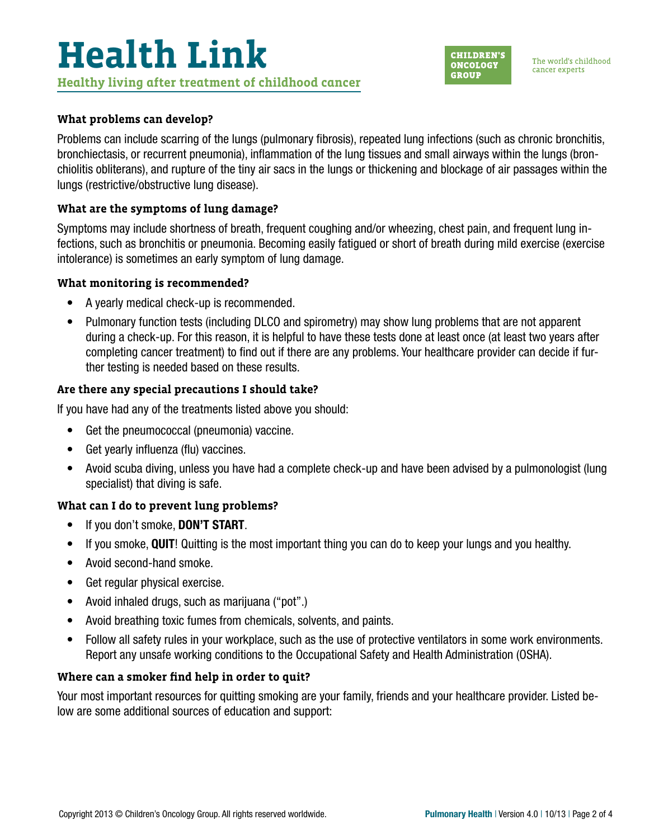

The world's childhood cancer experts

#### **What problems can develop?**

Problems can include scarring of the lungs (pulmonary fibrosis), repeated lung infections (such as chronic bronchitis, bronchiectasis, or recurrent pneumonia), inflammation of the lung tissues and small airways within the lungs (bronchiolitis obliterans), and rupture of the tiny air sacs in the lungs or thickening and blockage of air passages within the lungs (restrictive/obstructive lung disease).

#### **What are the symptoms of lung damage?**

Symptoms may include shortness of breath, frequent coughing and/or wheezing, chest pain, and frequent lung infections, such as bronchitis or pneumonia. Becoming easily fatigued or short of breath during mild exercise (exercise intolerance) is sometimes an early symptom of lung damage.

#### **What monitoring is recommended?**

- A yearly medical check-up is recommended.
- Pulmonary function tests (including DLCO and spirometry) may show lung problems that are not apparent during a check-up. For this reason, it is helpful to have these tests done at least once (at least two years after completing cancer treatment) to find out if there are any problems. Your healthcare provider can decide if further testing is needed based on these results.

### **Are there any special precautions I should take?**

If you have had any of the treatments listed above you should:

- Get the pneumococcal (pneumonia) vaccine.
- Get yearly influenza (flu) vaccines.
- Avoid scuba diving, unless you have had a complete check-up and have been advised by a pulmonologist (lung specialist) that diving is safe.

#### **What can I do to prevent lung problems?**

- If you don't smoke, **DON'T START**.
- If you smoke, QUIT! Quitting is the most important thing you can do to keep your lungs and you healthy.
- Avoid second-hand smoke.
- Get regular physical exercise.
- Avoid inhaled drugs, such as marijuana ("pot".)
- Avoid breathing toxic fumes from chemicals, solvents, and paints.
- Follow all safety rules in your workplace, such as the use of protective ventilators in some work environments. Report any unsafe working conditions to the Occupational Safety and Health Administration (OSHA).

#### **Where can a smoker find help in order to quit?**

Your most important resources for quitting smoking are your family, friends and your healthcare provider. Listed below are some additional sources of education and support: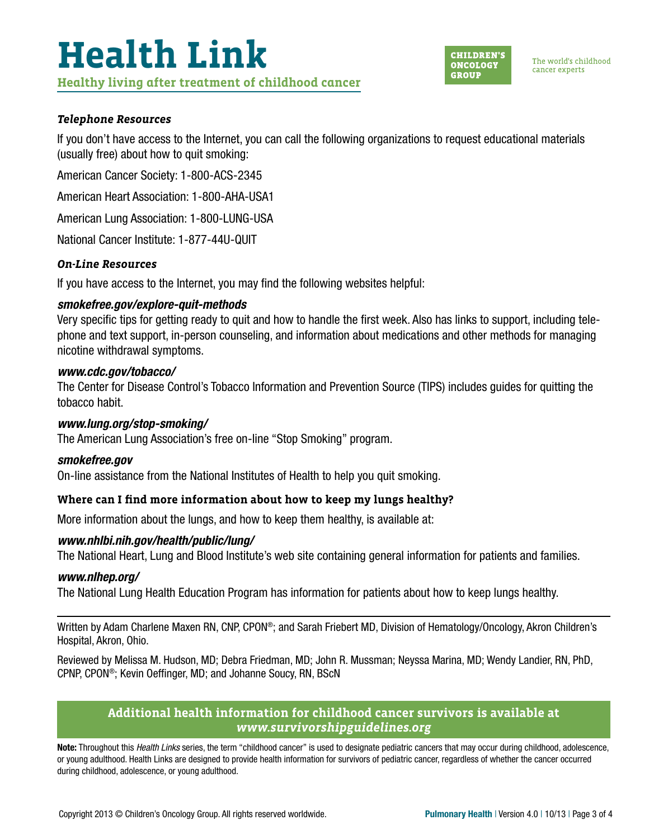

#### *Telephone Resources*

If you don't have access to the Internet, you can call the following organizations to request educational materials (usually free) about how to quit smoking:

American Cancer Society: 1-800-ACS-2345

American Heart Association: 1-800-AHA-USA1

American Lung Association: 1-800-LUNG-USA

National Cancer Institute: 1-877-44U-QUIT

#### *On-Line Resources*

If you have access to the Internet, you may find the following websites helpful:

### *[smokefree.gov/explore-quit-methods](http://smokefree.gov/explore-quit-methods  )*

Very specific tips for getting ready to quit and how to handle the first week. Also has links to support, including telephone and text support, in-person counseling, and information about medications and other methods for managing nicotine withdrawal symptoms.

#### *[www.cdc.gov/tobacco/](http://www.cdc.gov/tobacco/ )*

The Center for Disease Control's Tobacco Information and Prevention Source (TIPS) includes guides for quitting the tobacco habit.

#### *[www.lung.org/stop-smoking/](http://www.lung.org/stop-smoking/)*

The American Lung Association's free on-line "Stop Smoking" program.

#### *[smokefree.gov](http://smokefree.gov)*

On-line assistance from the National Institutes of Health to help you quit smoking.

### **Where can I find more information about how to keep my lungs healthy?**

More information about the lungs, and how to keep them healthy, is available at:

#### *[www.nhlbi.nih.gov/health/public/lung/](http://www.nhlbi.nih.gov/health/public/lung/)*

The National Heart, Lung and Blood Institute's web site containing general information for patients and families.

#### *[www.nlhep.org/](http://www.nlhep.org/)*

The National Lung Health Education Program has information for patients about how to keep lungs healthy.

Written by Adam Charlene Maxen RN, CNP, CPON®; and Sarah Friebert MD, Division of Hematology/Oncology, Akron Children's Hospital, Akron, Ohio.

Reviewed by Melissa M. Hudson, MD; Debra Friedman, MD; John R. Mussman; Neyssa Marina, MD; Wendy Landier, RN, PhD, CPNP, CPON®; Kevin Oeffinger, MD; and Johanne Soucy, RN, BScN

### **Additional health information for childhood cancer survivors is available at**  *[www.survivorshipguidelines.org](http://www.survivorshipguidelines.org)*

Note: Throughout this *Health Links* series, the term "childhood cancer" is used to designate pediatric cancers that may occur during childhood, adolescence, or young adulthood. Health Links are designed to provide health information for survivors of pediatric cancer, regardless of whether the cancer occurred during childhood, adolescence, or young adulthood.